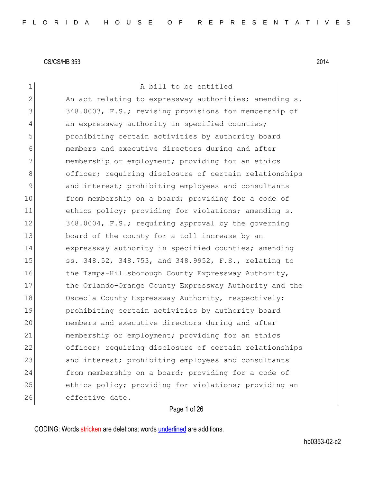1 a bill to be entitled 2 An act relating to expressway authorities; amending s. 3 348.0003, F.S.; revising provisions for membership of 4 an expressway authority in specified counties; 5 prohibiting certain activities by authority board 6 members and executive directors during and after 7 membership or employment; providing for an ethics 8 officer; requiring disclosure of certain relationships 9 and interest; prohibiting employees and consultants 10 from membership on a board; providing for a code of 11 ethics policy; providing for violations; amending s. 12 348.0004, F.S.; requiring approval by the governing 13 board of the county for a toll increase by an 14 expressway authority in specified counties; amending 15 5s. 348.52, 348.753, and 348.9952, F.S., relating to 16 the Tampa-Hillsborough County Expressway Authority, 17 the Orlando-Orange County Expressway Authority and the 18 Osceola County Expressway Authority, respectively; 19 prohibiting certain activities by authority board 20 members and executive directors during and after 21 membership or employment; providing for an ethics 22 officer; requiring disclosure of certain relationships 23 and interest; prohibiting employees and consultants 24 from membership on a board; providing for a code of 25 ethics policy; providing for violations; providing an 26 effective date.

## Page 1 of 26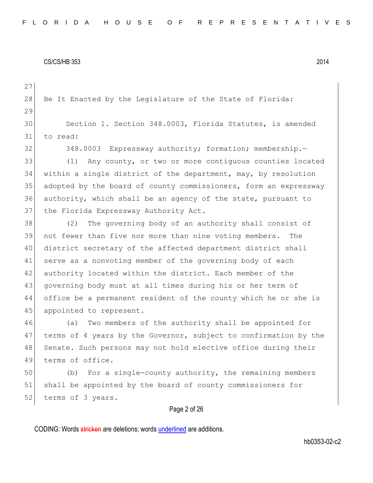28 Be It Enacted by the Legislature of the State of Florida: 29 30 Section 1. Section 348.0003, Florida Statutes, is amended 31 to read:

27

32 348.0003 Expressway authority; formation; membership.

33 (1) Any county, or two or more contiguous counties located 34 within a single district of the department, may, by resolution 35 adopted by the board of county commissioners, form an expressway 36 authority, which shall be an agency of the state, pursuant to 37 the Florida Expressway Authority Act.

38 (2) The governing body of an authority shall consist of 39 not fewer than five nor more than nine voting members. The 40 district secretary of the affected department district shall 41 serve as a nonvoting member of the governing body of each 42 authority located within the district. Each member of the 43 governing body must at all times during his or her term of 44 office be a permanent resident of the county which he or she is 45 appointed to represent.

46 (a) Two members of the authority shall be appointed for 47 terms of 4 years by the Governor, subject to confirmation by the 48 Senate. Such persons may not hold elective office during their 49 terms of office.

50 (b) For a single-county authority, the remaining members 51 shall be appointed by the board of county commissioners for 52 terms of 3 years.

## Page 2 of 26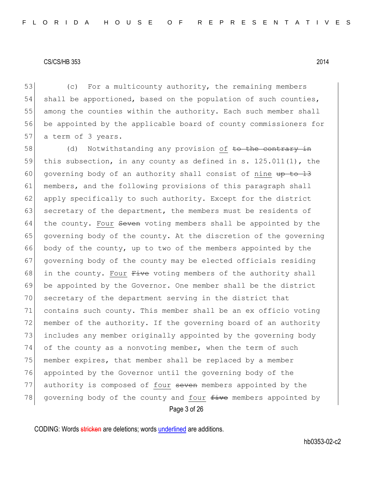53 (c) For a multicounty authority, the remaining members 54 shall be apportioned, based on the population of such counties, 55 among the counties within the authority. Each such member shall 56 be appointed by the applicable board of county commissioners for 57 a term of 3 years.

Page 3 of 26 58 (d) Notwithstanding any provision of to the contrary in 59 this subsection, in any county as defined in s.  $125.011(1)$ , the 60 governing body of an authority shall consist of nine  $\frac{13}{2}$ 61 members, and the following provisions of this paragraph shall 62 apply specifically to such authority. Except for the district 63 secretary of the department, the members must be residents of 64 the county. Four Seven voting members shall be appointed by the 65 governing body of the county. At the discretion of the governing 66 body of the county, up to two of the members appointed by the 67 governing body of the county may be elected officials residing 68 in the county. Four  $F\text{-}i$ ve voting members of the authority shall 69 be appointed by the Governor. One member shall be the district 70 secretary of the department serving in the district that 71 contains such county. This member shall be an ex officio voting 72 member of the authority. If the governing board of an authority 73 includes any member originally appointed by the governing body 74 of the county as a nonvoting member, when the term of such 75 member expires, that member shall be replaced by a member 76 appointed by the Governor until the governing body of the 77 authority is composed of four seven members appointed by the 78 governing body of the county and four  $f$ ive members appointed by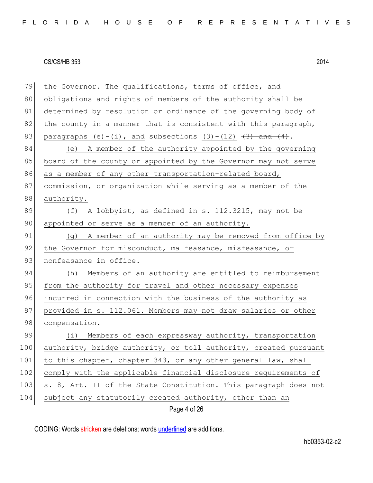| 79  | the Governor. The qualifications, terms of office, and           |
|-----|------------------------------------------------------------------|
| 80  | obligations and rights of members of the authority shall be      |
| 81  | determined by resolution or ordinance of the governing body of   |
| 82  | the county in a manner that is consistent with this paragraph,   |
| 83  | paragraphs (e)-(i), and subsections $(3)-(12)$ $(3)$ and $(4)$ . |
| 84  | (e) A member of the authority appointed by the governing         |
| 85  | board of the county or appointed by the Governor may not serve   |
| 86  | as a member of any other transportation-related board,           |
| 87  | commission, or organization while serving as a member of the     |
| 88  | authority.                                                       |
| 89  | (f) A lobbyist, as defined in s. 112.3215, may not be            |
| 90  | appointed or serve as a member of an authority.                  |
| 91  | (g) A member of an authority may be removed from office by       |
| 92  | the Governor for misconduct, malfeasance, misfeasance, or        |
| 93  | nonfeasance in office.                                           |
| 94  | (h) Members of an authority are entitled to reimbursement        |
| 95  | from the authority for travel and other necessary expenses       |
| 96  | incurred in connection with the business of the authority as     |
| 97  | provided in s. 112.061. Members may not draw salaries or other   |
| 98  | compensation.                                                    |
| 99  | (i) Members of each expressway authority, transportation         |
| 100 | authority, bridge authority, or toll authority, created pursuant |
| 101 | to this chapter, chapter 343, or any other general law, shall    |
| 102 | comply with the applicable financial disclosure requirements of  |
| 103 | s. 8, Art. II of the State Constitution. This paragraph does not |
| 104 | subject any statutorily created authority, other than an         |
|     | Page 4 of 26                                                     |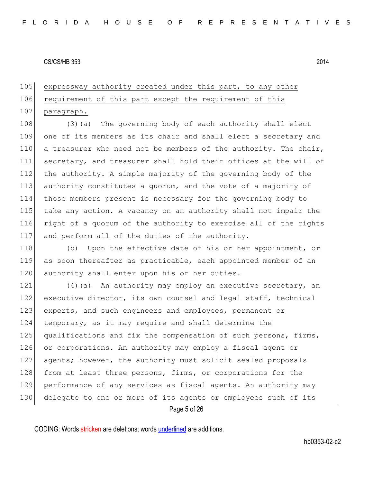105 expressway authority created under this part, to any other

## 106 requirement of this part except the requirement of this

## 107 paragraph.

108 (3) (a) The governing body of each authority shall elect one of its members as its chair and shall elect a secretary and 110 a treasurer who need not be members of the authority. The chair, secretary, and treasurer shall hold their offices at the will of the authority. A simple majority of the governing body of the authority constitutes a quorum, and the vote of a majority of those members present is necessary for the governing body to take any action. A vacancy on an authority shall not impair the 116 right of a quorum of the authority to exercise all of the rights and perform all of the duties of the authority.

118 (b) Upon the effective date of his or her appointment, or 119 as soon thereafter as practicable, each appointed member of an 120 authority shall enter upon his or her duties.

Page 5 of 26  $(4)$   $\left( \frac{a}{a} \right)$  An authority may employ an executive secretary, an executive director, its own counsel and legal staff, technical experts, and such engineers and employees, permanent or temporary, as it may require and shall determine the 125 | qualifications and fix the compensation of such persons, firms, 126 or corporations. An authority may employ a fiscal agent or agents; however, the authority must solicit sealed proposals 128 from at least three persons, firms, or corporations for the performance of any services as fiscal agents. An authority may delegate to one or more of its agents or employees such of its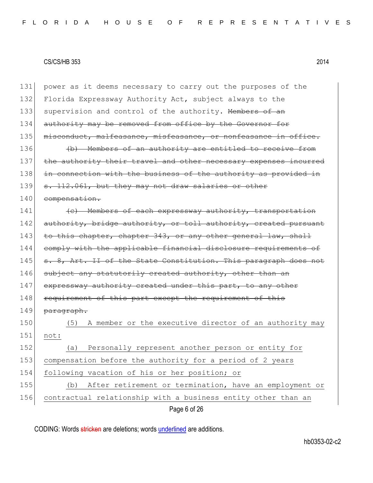Page 6 of 26 131 power as it deems necessary to carry out the purposes of the 132 Florida Expressway Authority Act, subject always to the 133 supervision and control of the authority. Members of an 134 authority may be removed from office by the Governor for 135 misconduct, malfeasance, misfeasance, or nonfeasance in office. 136 (b) Members of an authority are entitled to receive 137 the authority their travel and other necessary expenses incurred 138 in connection with the business of the authority as provided in 139 s. 112.061, but they may not draw salaries or other 140 compensation.  $141$  (c) Members of each expressway authority, transportation 142 authority, bridge authority, or toll authority, created pursuant 143 to this chapter, chapter 343, or any other general law, shall 144 comply with the applicable financial disclosure requirements of 145 s. 8, Art. II of the State Constitution. This paragraph does not 146 subject any statutorily created authority, other than an 147 expressway authority created under this part, to any other 148 requirement of this part except the requirement of this 149 paragraph. 150 (5) A member or the executive director of an authority may 151 not: 152 (a) Personally represent another person or entity for 153 compensation before the authority for a period of 2 years 154 following vacation of his or her position; or 155 (b) After retirement or termination, have an employment or 156 contractual relationship with a business entity other than an

CODING: Words stricken are deletions; words underlined are additions.

hb0353-02-c2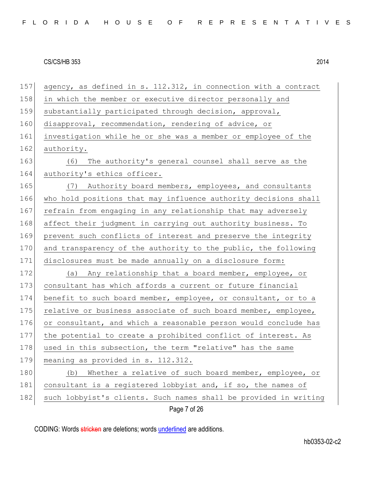Page 7 of 26 157 agency, as defined in s. 112.312, in connection with a contract 158 in which the member or executive director personally and 159 substantially participated through decision, approval, 160 disapproval, recommendation, rendering of advice, or 161 investigation while he or she was a member or employee of the 162 authority. 163 (6) The authority's general counsel shall serve as the 164 authority's ethics officer. 165 (7) Authority board members, employees, and consultants 166 who hold positions that may influence authority decisions shall 167 refrain from engaging in any relationship that may adversely 168 affect their judgment in carrying out authority business. To 169 prevent such conflicts of interest and preserve the integrity 170 and transparency of the authority to the public, the following 171 disclosures must be made annually on a disclosure form: 172 (a) Any relationship that a board member, employee, or 173 consultant has which affords a current or future financial 174 benefit to such board member, employee, or consultant, or to a 175 relative or business associate of such board member, employee, 176 or consultant, and which a reasonable person would conclude has 177 the potential to create a prohibited conflict of interest. As 178 used in this subsection, the term "relative" has the same 179 meaning as provided in s. 112.312. 180 (b) Whether a relative of such board member, employee, or 181 consultant is a registered lobbyist and, if so, the names of 182 such lobbyist's clients. Such names shall be provided in writing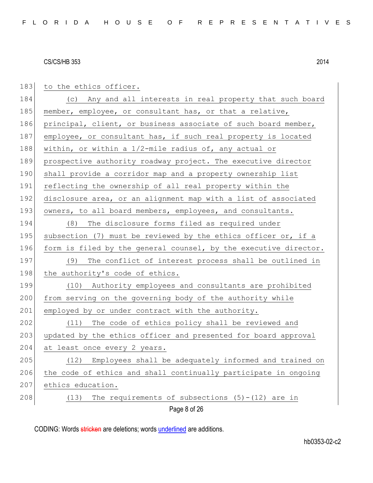| 183 | to the ethics officer.                                           |
|-----|------------------------------------------------------------------|
| 184 | (c) Any and all interests in real property that such board       |
| 185 | member, employee, or consultant has, or that a relative,         |
| 186 | principal, client, or business associate of such board member,   |
| 187 | employee, or consultant has, if such real property is located    |
| 188 | within, or within a $1/2$ -mile radius of, any actual or         |
| 189 | prospective authority roadway project. The executive director    |
| 190 | shall provide a corridor map and a property ownership list       |
| 191 | reflecting the ownership of all real property within the         |
| 192 | disclosure area, or an alignment map with a list of associated   |
| 193 | owners, to all board members, employees, and consultants.        |
| 194 | The disclosure forms filed as required under<br>(8)              |
| 195 | subsection (7) must be reviewed by the ethics officer or, if a   |
| 196 | form is filed by the general counsel, by the executive director. |
| 197 | (9) The conflict of interest process shall be outlined in        |
| 198 | the authority's code of ethics.                                  |
| 199 | (10) Authority employees and consultants are prohibited          |
| 200 | from serving on the governing body of the authority while        |
| 201 | employed by or under contract with the authority.                |
| 202 | (11) The code of ethics policy shall be reviewed and             |
| 203 | updated by the ethics officer and presented for board approval   |
| 204 | at least once every 2 years.                                     |
| 205 | Employees shall be adequately informed and trained on<br>(12)    |
| 206 | the code of ethics and shall continually participate in ongoing  |
| 207 | ethics education.                                                |
| 208 | The requirements of subsections $(5) - (12)$ are in<br>(13)      |
|     |                                                                  |

Page 8 of 26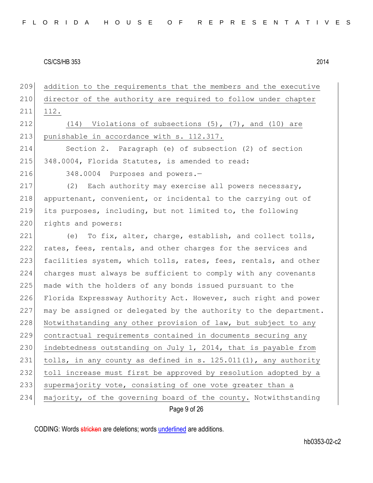Page 9 of 26 209 addition to the requirements that the members and the executive 210 director of the authority are required to follow under chapter 211 112. 212  $(14)$  Violations of subsections  $(5)$ ,  $(7)$ , and  $(10)$  are 213 punishable in accordance with s. 112.317. 214 Section 2. Paragraph (e) of subsection (2) of section 215 348.0004, Florida Statutes, is amended to read: 216 348.0004 Purposes and powers.-217 (2) Each authority may exercise all powers necessary, 218 appurtenant, convenient, or incidental to the carrying out of 219 its purposes, including, but not limited to, the following 220 rights and powers: 221  $($ ) To fix, alter, charge, establish, and collect tolls, 222 rates, fees, rentals, and other charges for the services and 223 facilities system, which tolls, rates, fees, rentals, and other 224 charges must always be sufficient to comply with any covenants 225 made with the holders of any bonds issued pursuant to the 226 Florida Expressway Authority Act. However, such right and power 227 may be assigned or delegated by the authority to the department. 228 Notwithstanding any other provision of law, but subject to any 229 contractual requirements contained in documents securing any 230 indebtedness outstanding on July 1, 2014, that is payable from 231 | tolls, in any county as defined in s. 125.011(1), any authority 232 toll increase must first be approved by resolution adopted by a 233 supermajority vote, consisting of one vote greater than a 234 majority, of the governing board of the county. Notwithstanding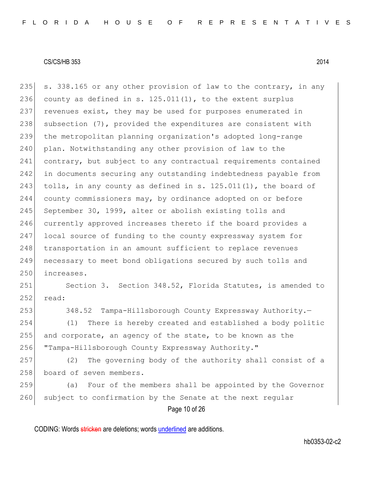235 s. 338.165 or any other provision of law to the contrary, in any 236 county as defined in s.  $125.011(1)$ , to the extent surplus 237 revenues exist, they may be used for purposes enumerated in 238 subsection (7), provided the expenditures are consistent with 239 the metropolitan planning organization's adopted long-range 240 plan. Notwithstanding any other provision of law to the 241 contrary, but subject to any contractual requirements contained 242 in documents securing any outstanding indebtedness payable from 243 tolls, in any county as defined in s.  $125.011(1)$ , the board of 244 county commissioners may, by ordinance adopted on or before 245 September 30, 1999, alter or abolish existing tolls and 246 currently approved increases thereto if the board provides a 247 local source of funding to the county expressway system for 248 transportation in an amount sufficient to replace revenues 249 necessary to meet bond obligations secured by such tolls and 250 increases.

251 Section 3. Section 348.52, Florida Statutes, is amended to  $252$  read:

253 348.52 Tampa-Hillsborough County Expressway Authority.

254 (1) There is hereby created and established a body politic 255 and corporate, an agency of the state, to be known as the 256 "Tampa-Hillsborough County Expressway Authority."

257 (2) The governing body of the authority shall consist of a 258 board of seven members.

259 (a) Four of the members shall be appointed by the Governor 260 subject to confirmation by the Senate at the next regular

Page 10 of 26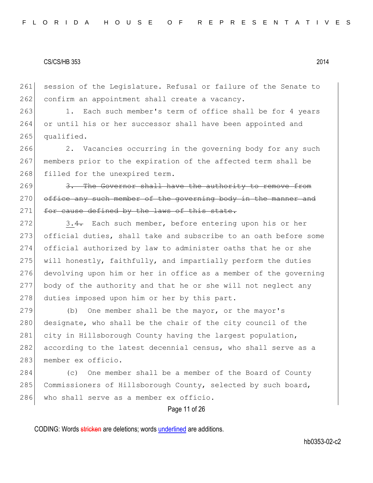261 session of the Legislature. Refusal or failure of the Senate to 262 confirm an appointment shall create a vacancy.

263 1. Each such member's term of office shall be for 4 years 264 or until his or her successor shall have been appointed and 265 qualified.

266 2. Vacancies occurring in the governing body for any such 267 members prior to the expiration of the affected term shall be 268 filled for the unexpired term.

269 3. The Governor shall have the authority to remove from 270 office any such member of the governing body in the manner and 271 for cause defined by the laws of this state.

272 3.4. Each such member, before entering upon his or her 273 official duties, shall take and subscribe to an oath before some 274 official authorized by law to administer oaths that he or she 275 will honestly, faithfully, and impartially perform the duties 276 devolving upon him or her in office as a member of the governing 277 body of the authority and that he or she will not neglect any 278 duties imposed upon him or her by this part.

279 (b) One member shall be the mayor, or the mayor's 280 designate, who shall be the chair of the city council of the 281 city in Hillsborough County having the largest population, 282 according to the latest decennial census, who shall serve as a 283 member ex officio.

284 (c) One member shall be a member of the Board of County 285 Commissioners of Hillsborough County, selected by such board, 286 who shall serve as a member ex officio.

Page 11 of 26

CODING: Words stricken are deletions; words underlined are additions.

hb0353-02-c2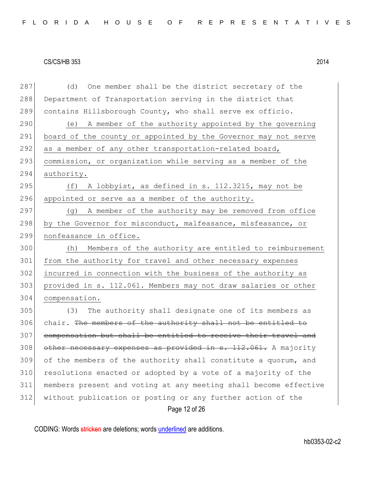Page 12 of 26 287 (d) One member shall be the district secretary of the 288 Department of Transportation serving in the district that 289 contains Hillsborough County, who shall serve ex officio. 290 (e) A member of the authority appointed by the governing 291 board of the county or appointed by the Governor may not serve 292 as a member of any other transportation-related board, 293 commission, or organization while serving as a member of the 294 authority. 295  $( f)$  A lobbyist, as defined in s. 112.3215, may not be 296 appointed or serve as a member of the authority. 297 (g) A member of the authority may be removed from office 298 by the Governor for misconduct, malfeasance, misfeasance, or 299 nonfeasance in office. 300 (h) Members of the authority are entitled to reimbursement 301 from the authority for travel and other necessary expenses 302 incurred in connection with the business of the authority as 303 provided in s. 112.061. Members may not draw salaries or other 304 compensation. 305 (3) The authority shall designate one of its members as 306 chair. The members of the authority shall not be entitled to 307 compensation but shall be entitled to receive their travel and 308 other necessary expenses as provided in s. 112.061. A majority 309 of the members of the authority shall constitute a quorum, and 310 resolutions enacted or adopted by a vote of a majority of the 311 members present and voting at any meeting shall become effective 312 without publication or posting or any further action of the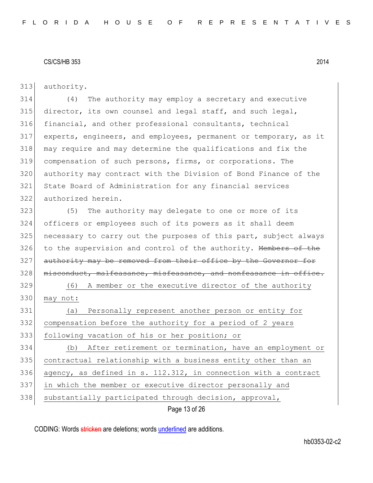authority.

 (4) The authority may employ a secretary and executive director, its own counsel and legal staff, and such legal, financial, and other professional consultants, technical experts, engineers, and employees, permanent or temporary, as it may require and may determine the qualifications and fix the compensation of such persons, firms, or corporations. The authority may contract with the Division of Bond Finance of the State Board of Administration for any financial services authorized herein.

323 (5) The authority may delegate to one or more of its officers or employees such of its powers as it shall deem necessary to carry out the purposes of this part, subject always 326 to the supervision and control of the authority. Members of the 327 authority may be removed from their office by the Governor for 328 misconduct, malfeasance, misfeasance, and nonfeasance in office.

 (6) A member or the executive director of the authority 330 may not:

 (a) Personally represent another person or entity for compensation before the authority for a period of 2 years following vacation of his or her position; or

 (b) After retirement or termination, have an employment or contractual relationship with a business entity other than an 336 agency, as defined in s. 112.312, in connection with a contract in which the member or executive director personally and 338 substantially participated through decision, approval,

Page 13 of 26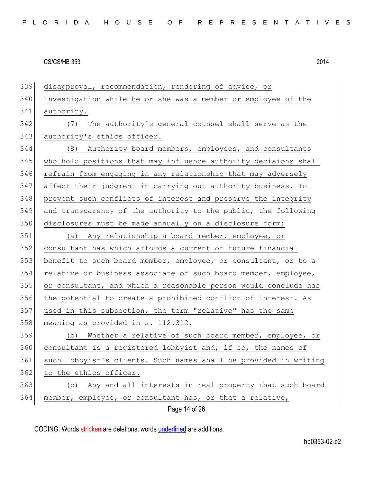Page 14 of 26 disapproval, recommendation, rendering of advice, or investigation while he or she was a member or employee of the authority. (7) The authority's general counsel shall serve as the 343 authority's ethics officer. (8) Authority board members, employees, and consultants 345 who hold positions that may influence authority decisions shall 346 refrain from engaging in any relationship that may adversely affect their judgment in carrying out authority business. To 348 prevent such conflicts of interest and preserve the integrity and transparency of the authority to the public, the following disclosures must be made annually on a disclosure form: (a) Any relationship a board member, employee, or consultant has which affords a current or future financial benefit to such board member, employee, or consultant, or to a 354 relative or business associate of such board member, employee, or consultant, and which a reasonable person would conclude has 356 the potential to create a prohibited conflict of interest. As used in this subsection, the term "relative" has the same meaning as provided in s. 112.312. 359 (b) Whether a relative of such board member, employee, or 360 consultant is a registered lobbyist and, if so, the names of such lobbyist's clients. Such names shall be provided in writing 362 to the ethics officer. (c) Any and all interests in real property that such board member, employee, or consultant has, or that a relative,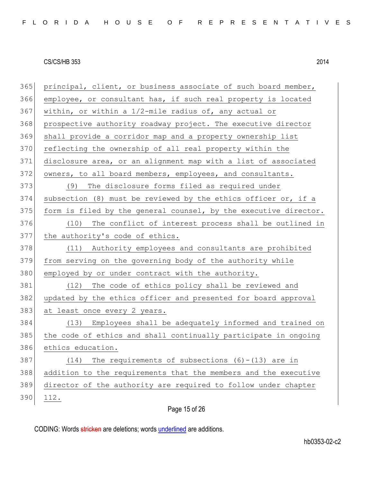| 365 | principal, client, or business associate of such board member,   |
|-----|------------------------------------------------------------------|
| 366 | employee, or consultant has, if such real property is located    |
| 367 | within, or within a 1/2-mile radius of, any actual or            |
| 368 | prospective authority roadway project. The executive director    |
| 369 | shall provide a corridor map and a property ownership list       |
| 370 | reflecting the ownership of all real property within the         |
| 371 | disclosure area, or an alignment map with a list of associated   |
| 372 | owners, to all board members, employees, and consultants.        |
| 373 | (9)<br>The disclosure forms filed as required under              |
| 374 | subsection (8) must be reviewed by the ethics officer or, if a   |
| 375 | form is filed by the general counsel, by the executive director. |
| 376 | (10) The conflict of interest process shall be outlined in       |
| 377 | the authority's code of ethics.                                  |
| 378 | (11) Authority employees and consultants are prohibited          |
| 379 | from serving on the governing body of the authority while        |
| 380 | employed by or under contract with the authority.                |
| 381 |                                                                  |
|     | (12) The code of ethics policy shall be reviewed and             |
| 382 | updated by the ethics officer and presented for board approval   |
| 383 | at least once every 2 years.                                     |
| 384 | (13) Employees shall be adequately informed and trained on       |
| 385 | the code of ethics and shall continually participate in ongoing  |
| 386 | ethics education.                                                |
| 387 | The requirements of subsections $(6) - (13)$ are in<br>(14)      |
| 388 | addition to the requirements that the members and the executive  |
| 389 | director of the authority are required to follow under chapter   |
| 390 | 112.                                                             |

# Page 15 of 26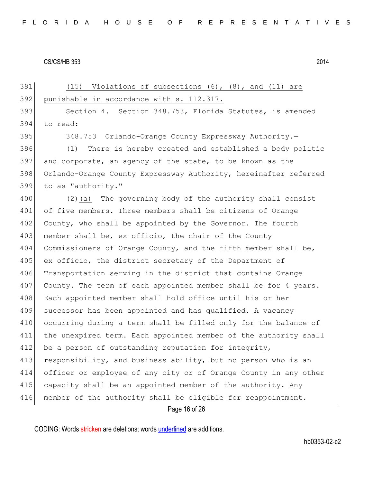Page 16 of 26 391 (15) Violations of subsections  $(6)$ ,  $(8)$ , and  $(11)$  are 392 punishable in accordance with s. 112.317. 393 Section 4. Section 348.753, Florida Statutes, is amended 394 to read: 395 348.753 Orlando-Orange County Expressway Authority. 396 (1) There is hereby created and established a body politic 397 and corporate, an agency of the state, to be known as the 398 Orlando-Orange County Expressway Authority, hereinafter referred 399 to as "authority." 400 (2) (a) The governing body of the authority shall consist 401 of five members. Three members shall be citizens of Orange 402 County, who shall be appointed by the Governor. The fourth 403 member shall be, ex officio, the chair of the County 404 Commissioners of Orange County, and the fifth member shall be, 405 ex officio, the district secretary of the Department of 406 Transportation serving in the district that contains Orange 407 County. The term of each appointed member shall be for 4 years. 408 Each appointed member shall hold office until his or her 409 successor has been appointed and has qualified. A vacancy 410 occurring during a term shall be filled only for the balance of 411 the unexpired term. Each appointed member of the authority shall 412 be a person of outstanding reputation for integrity, 413 responsibility, and business ability, but no person who is an 414 officer or employee of any city or of Orange County in any other 415 capacity shall be an appointed member of the authority. Any 416 member of the authority shall be eligible for reappointment.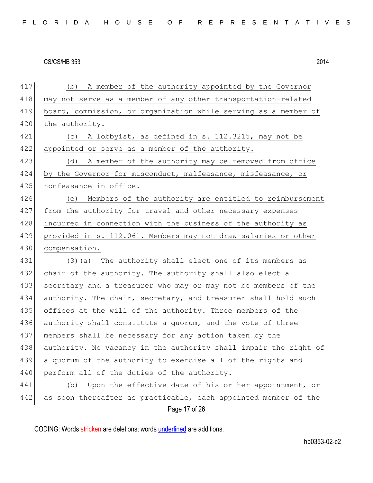Page 17 of 26 417 (b) A member of the authority appointed by the Governor 418 may not serve as a member of any other transportation-related 419 board, commission, or organization while serving as a member of 420 the authority. 421 (c) A lobbyist, as defined in s. 112.3215, may not be 422 appointed or serve as a member of the authority. 423 (d) A member of the authority may be removed from office 424 by the Governor for misconduct, malfeasance, misfeasance, or 425 nonfeasance in office. 426 (e) Members of the authority are entitled to reimbursement 427 from the authority for travel and other necessary expenses 428 incurred in connection with the business of the authority as 429 provided in s. 112.061. Members may not draw salaries or other 430 compensation. 431 (3)(a) The authority shall elect one of its members as 432 chair of the authority. The authority shall also elect a 433 secretary and a treasurer who may or may not be members of the 434 authority. The chair, secretary, and treasurer shall hold such 435 offices at the will of the authority. Three members of the 436 authority shall constitute a quorum, and the vote of three 437 members shall be necessary for any action taken by the 438 authority. No vacancy in the authority shall impair the right of 439 a quorum of the authority to exercise all of the rights and 440 perform all of the duties of the authority. 441 (b) Upon the effective date of his or her appointment, or 442 as soon thereafter as practicable, each appointed member of the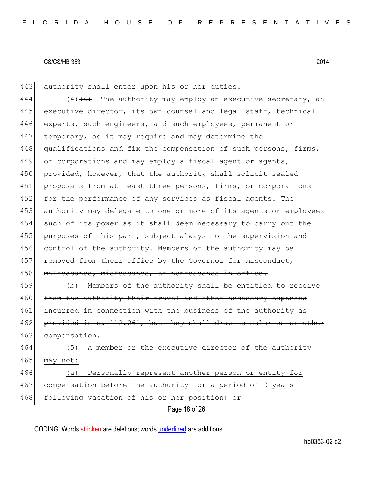443 authority shall enter upon his or her duties.

444 (4) $\left(\frac{4}{a}\right)$  The authority may employ an executive secretary, an 445 executive director, its own counsel and legal staff, technical 446 experts, such engineers, and such employees, permanent or 447 temporary, as it may require and may determine the 448 qualifications and fix the compensation of such persons, firms, 449 or corporations and may employ a fiscal agent or agents, 450 provided, however, that the authority shall solicit sealed 451 proposals from at least three persons, firms, or corporations 452 for the performance of any services as fiscal agents. The 453 authority may delegate to one or more of its agents or employees 454 such of its power as it shall deem necessary to carry out the 455 purposes of this part, subject always to the supervision and 456 control of the authority. Members of the authority may be 457 removed from their office by the Governor for misconduct, 458 malfeasance, misfeasance, or nonfeasance in office. 459 (b) Members of the authority shall be entitled to receive

460 from the authority their travel and other necessary expenses 461 incurred in connection with the business of the authority as 462 provided in s. 112.061, but they shall draw no salaries or other 463 compensation.

464 (5) A member or the executive director of the authority 465 may not: 466 (a) Personally represent another person or entity for

467 compensation before the authority for a period of 2 years

468 following vacation of his or her position; or

Page 18 of 26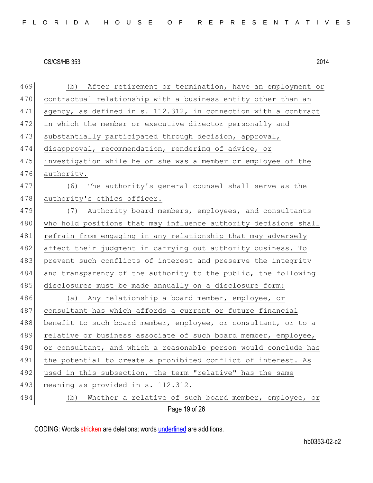| 469 | (b) After retirement or termination, have an employment or      |
|-----|-----------------------------------------------------------------|
| 470 | contractual relationship with a business entity other than an   |
| 471 | agency, as defined in s. 112.312, in connection with a contract |
| 472 | in which the member or executive director personally and        |
| 473 | substantially participated through decision, approval,          |
| 474 | disapproval, recommendation, rendering of advice, or            |
| 475 | investigation while he or she was a member or employee of the   |
| 476 | authority.                                                      |
| 477 | The authority's general counsel shall serve as the<br>(6)       |
| 478 | authority's ethics officer.                                     |
| 479 | (7) Authority board members, employees, and consultants         |
| 480 | who hold positions that may influence authority decisions shall |
| 481 | refrain from engaging in any relationship that may adversely    |
| 482 | affect their judgment in carrying out authority business. To    |
| 483 | prevent such conflicts of interest and preserve the integrity   |
| 484 | and transparency of the authority to the public, the following  |
| 485 | disclosures must be made annually on a disclosure form:         |
| 486 | (a) Any relationship a board member, employee, or               |
| 487 | consultant has which affords a current or future financial      |
| 488 | benefit to such board member, employee, or consultant, or to a  |
| 489 | relative or business associate of such board member, employee,  |
| 490 | or consultant, and which a reasonable person would conclude has |
| 491 | the potential to create a prohibited conflict of interest. As   |
| 492 | used in this subsection, the term "relative" has the same       |
| 493 | meaning as provided in s. 112.312.                              |
| 494 | Whether a relative of such board member, employee, or<br>(b)    |
|     | Page 19 of 26                                                   |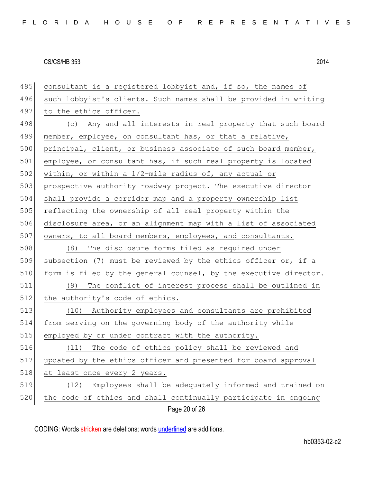| 495 | consultant is a registered lobbyist and, if so, the names of     |
|-----|------------------------------------------------------------------|
| 496 | such lobbyist's clients. Such names shall be provided in writing |
| 497 | to the ethics officer.                                           |
| 498 | (c) Any and all interests in real property that such board       |
| 499 | member, employee, on consultant has, or that a relative,         |
| 500 | principal, client, or business associate of such board member,   |
| 501 | employee, or consultant has, if such real property is located    |
| 502 | within, or within a 1/2-mile radius of, any actual or            |
| 503 | prospective authority roadway project. The executive director    |
| 504 | shall provide a corridor map and a property ownership list       |
| 505 | reflecting the ownership of all real property within the         |
| 506 | disclosure area, or an alignment map with a list of associated   |
| 507 | owners, to all board members, employees, and consultants.        |
| 508 | The disclosure forms filed as required under<br>(8)              |
| 509 | subsection (7) must be reviewed by the ethics officer or, if a   |
| 510 | form is filed by the general counsel, by the executive director. |
| 511 | (9)<br>The conflict of interest process shall be outlined in     |
| 512 | the authority's code of ethics.                                  |
| 513 | (10) Authority employees and consultants are prohibited          |
| 514 | from serving on the governing body of the authority while        |
| 515 | employed by or under contract with the authority.                |
| 516 | (11) The code of ethics policy shall be reviewed and             |
| 517 | updated by the ethics officer and presented for board approval   |
| 518 | at least once every 2 years.                                     |
| 519 | Employees shall be adequately informed and trained on<br>(12)    |
| 520 | the code of ethics and shall continually participate in ongoing  |
|     | Page 20 of 26                                                    |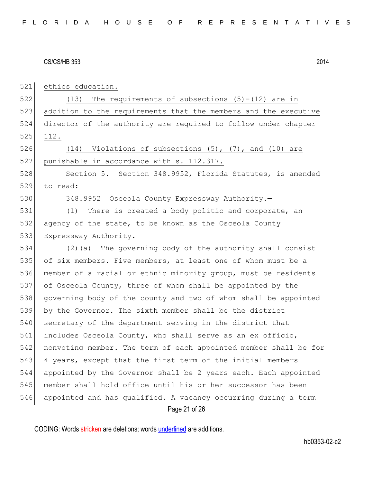Page 21 of 26 521 ethics education. 522 (13) The requirements of subsections (5)-(12) are in 523 addition to the requirements that the members and the executive 524 director of the authority are required to follow under chapter 525 112. 526  $(14)$  Violations of subsections  $(5)$ ,  $(7)$ , and  $(10)$  are 527 punishable in accordance with s. 112.317. 528 Section 5. Section 348.9952, Florida Statutes, is amended 529 to read: 530 348.9952 Osceola County Expressway Authority. 531 (1) There is created a body politic and corporate, an 532 agency of the state, to be known as the Osceola County 533 Expressway Authority. 534 (2)(a) The governing body of the authority shall consist 535 of six members. Five members, at least one of whom must be a 536 member of a racial or ethnic minority group, must be residents 537 of Osceola County, three of whom shall be appointed by the 538 governing body of the county and two of whom shall be appointed 539 by the Governor. The sixth member shall be the district 540 secretary of the department serving in the district that 541 includes Osceola County, who shall serve as an ex officio, 542 nonvoting member. The term of each appointed member shall be for 543 4 years, except that the first term of the initial members 544 appointed by the Governor shall be 2 years each. Each appointed 545 member shall hold office until his or her successor has been 546 appointed and has qualified. A vacancy occurring during a term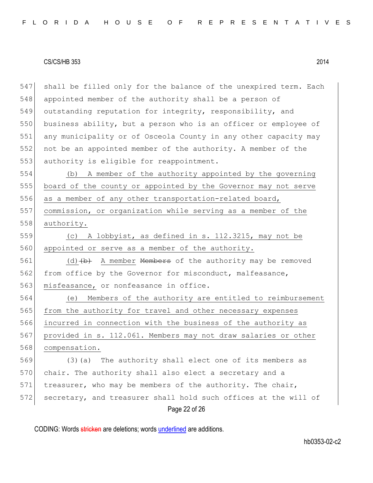547 shall be filled only for the balance of the unexpired term. Each 548 appointed member of the authority shall be a person of 549 outstanding reputation for integrity, responsibility, and 550 business ability, but a person who is an officer or employee of 551 any municipality or of Osceola County in any other capacity may 552 not be an appointed member of the authority. A member of the 553 authority is eligible for reappointment. 554 (b) A member of the authority appointed by the governing

555 board of the county or appointed by the Governor may not serve 556 as a member of any other transportation-related board, 557 commission, or organization while serving as a member of the 558 authority.

559 (c) A lobbyist, as defined in s. 112.3215, may not be 560 appointed or serve as a member of the authority.

561 (d)  $\left(\phi\right)$  A member Members of the authority may be removed 562 from office by the Governor for misconduct, malfeasance, 563 misfeasance, or nonfeasance in office.

564 (e) Members of the authority are entitled to reimbursement 565 from the authority for travel and other necessary expenses 566 incurred in connection with the business of the authority as 567 provided in s. 112.061. Members may not draw salaries or other 568 compensation.

Page 22 of 26 569 (3)(a) The authority shall elect one of its members as 570 chair. The authority shall also elect a secretary and a 571 treasurer, who may be members of the authority. The chair, 572 secretary, and treasurer shall hold such offices at the will of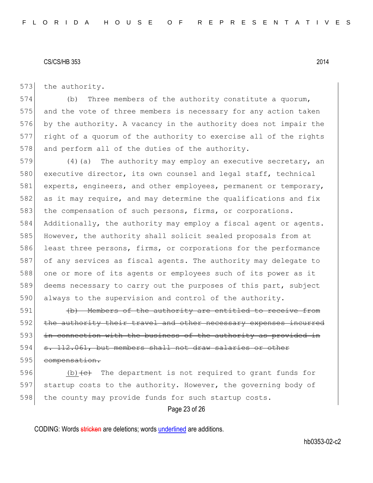573 the authority.

574 (b) Three members of the authority constitute a quorum, 575 and the vote of three members is necessary for any action taken 576 by the authority. A vacancy in the authority does not impair the 577 right of a quorum of the authority to exercise all of the rights 578 and perform all of the duties of the authority.

579 (4) (a) The authority may employ an executive secretary, an 580 executive director, its own counsel and legal staff, technical 581 experts, engineers, and other employees, permanent or temporary, 582 as it may require, and may determine the qualifications and fix 583 the compensation of such persons, firms, or corporations. 584 Additionally, the authority may employ a fiscal agent or agents. 585 However, the authority shall solicit sealed proposals from at 586 least three persons, firms, or corporations for the performance 587 of any services as fiscal agents. The authority may delegate to 588 one or more of its agents or employees such of its power as it 589 deems necessary to carry out the purposes of this part, subject 590 always to the supervision and control of the authority.

591 (b) Members of the authority are entitled to receive from 592 the authority their travel and other necessary expenses incurred 593 in connection with the business of the authority as provided in 594 s. 112.061, but members shall not draw salaries or other 595 compensation.

596 (b)  $\left\{ \left( e \right)$  The department is not required to grant funds for 597 startup costs to the authority. However, the governing body of 598 the county may provide funds for such startup costs.

Page 23 of 26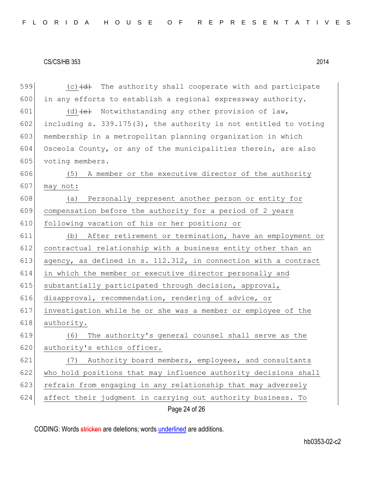| 599 | $(c)$ $(d)$ The authority shall cooperate with and participate   |
|-----|------------------------------------------------------------------|
| 600 | in any efforts to establish a regional expressway authority.     |
| 601 | $(d)$ +e+ Notwithstanding any other provision of law,            |
| 602 | including s. 339.175(3), the authority is not entitled to voting |
| 603 | membership in a metropolitan planning organization in which      |
| 604 | Osceola County, or any of the municipalities therein, are also   |
| 605 | voting members.                                                  |
| 606 | (5) A member or the executive director of the authority          |
| 607 | may not:                                                         |
| 608 | Personally represent another person or entity for<br>(a)         |
| 609 | compensation before the authority for a period of 2 years        |
| 610 | following vacation of his or her position; or                    |
| 611 | (b) After retirement or termination, have an employment or       |
| 612 | contractual relationship with a business entity other than an    |
| 613 | agency, as defined in s. 112.312, in connection with a contract  |
| 614 | in which the member or executive director personally and         |
| 615 | substantially participated through decision, approval,           |
| 616 | disapproval, recommendation, rendering of advice, or             |
| 617 | investigation while he or she was a member or employee of the    |
| 618 | authority.                                                       |
| 619 | The authority's general counsel shall serve as the<br>(6)        |
| 620 | authority's ethics officer.                                      |
| 621 | Authority board members, employees, and consultants<br>(7)       |
| 622 | who hold positions that may influence authority decisions shall  |
| 623 | refrain from engaging in any relationship that may adversely     |
| 624 | affect their judgment in carrying out authority business. To     |
|     | Page 24 of 26                                                    |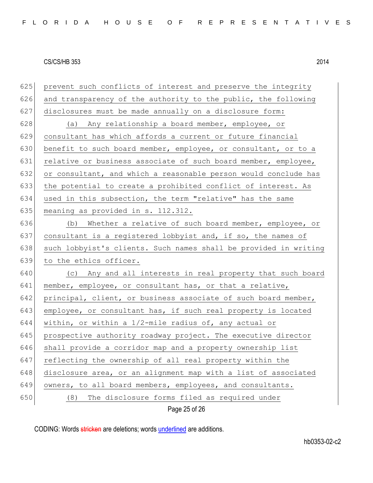| 625 | prevent such conflicts of interest and preserve the integrity    |
|-----|------------------------------------------------------------------|
| 626 | and transparency of the authority to the public, the following   |
| 627 | disclosures must be made annually on a disclosure form:          |
| 628 | (a) Any relationship a board member, employee, or                |
| 629 | consultant has which affords a current or future financial       |
| 630 | benefit to such board member, employee, or consultant, or to a   |
| 631 | relative or business associate of such board member, employee,   |
| 632 | or consultant, and which a reasonable person would conclude has  |
| 633 | the potential to create a prohibited conflict of interest. As    |
| 634 | used in this subsection, the term "relative" has the same        |
| 635 | meaning as provided in s. 112.312.                               |
| 636 | (b) Whether a relative of such board member, employee, or        |
| 637 | consultant is a registered lobbyist and, if so, the names of     |
| 638 | such lobbyist's clients. Such names shall be provided in writing |
| 639 | to the ethics officer.                                           |
| 640 | (c) Any and all interests in real property that such board       |
| 641 | member, employee, or consultant has, or that a relative,         |
| 642 | principal, client, or business associate of such board member,   |
| 643 | employee, or consultant has, if such real property is located    |
| 644 | within, or within a $1/2$ -mile radius of, any actual or         |
| 645 | prospective authority roadway project. The executive director    |
| 646 | shall provide a corridor map and a property ownership list       |
| 647 | reflecting the ownership of all real property within the         |
| 648 | disclosure area, or an alignment map with a list of associated   |
| 649 | owners, to all board members, employees, and consultants.        |
| 650 | The disclosure forms filed as required under<br>(8)              |
|     | Page 25 of 26                                                    |